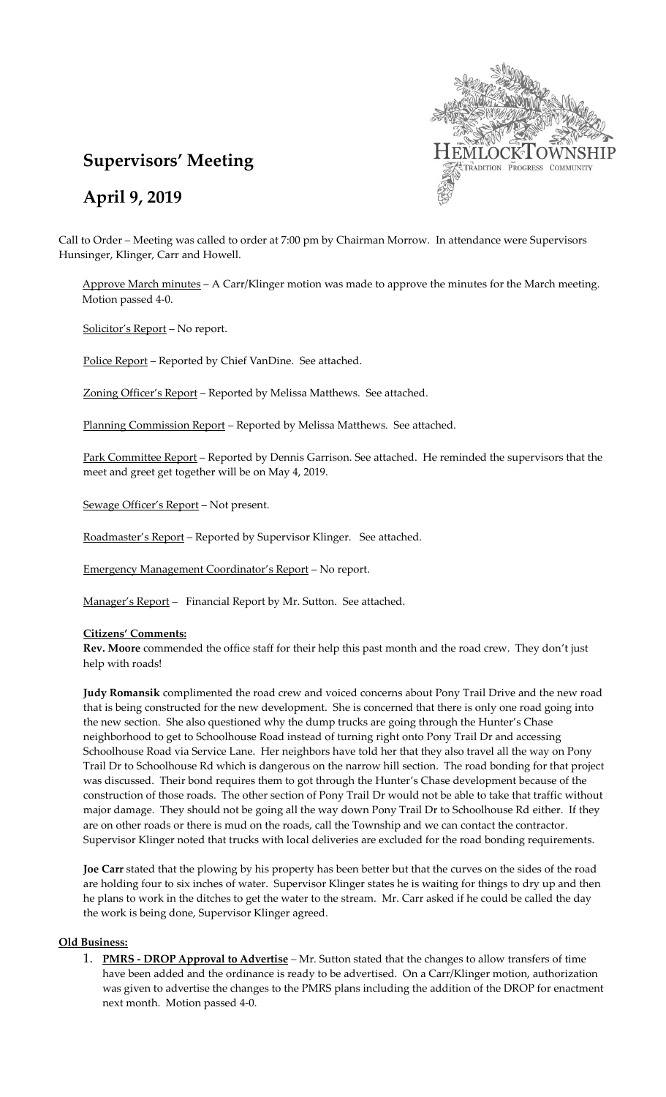

# **Supervisors' Meeting**

**April 9, 2019**

Call to Order – Meeting was called to order at 7:00 pm by Chairman Morrow. In attendance were Supervisors Hunsinger, Klinger, Carr and Howell.

Approve March minutes – A Carr/Klinger motion was made to approve the minutes for the March meeting. Motion passed 4-0.

Solicitor's Report – No report.

Police Report - Reported by Chief VanDine. See attached.

Zoning Officer's Report – Reported by Melissa Matthews. See attached.

Planning Commission Report - Reported by Melissa Matthews. See attached.

Park Committee Report – Reported by Dennis Garrison. See attached. He reminded the supervisors that the meet and greet get together will be on May 4, 2019.

Sewage Officer's Report – Not present.

Roadmaster's Report - Reported by Supervisor Klinger. See attached.

Emergency Management Coordinator's Report – No report.

Manager's Report – Financial Report by Mr. Sutton. See attached.

### **Citizens' Comments:**

**Rev. Moore** commended the office staff for their help this past month and the road crew. They don't just help with roads!

**Judy Romansik** complimented the road crew and voiced concerns about Pony Trail Drive and the new road that is being constructed for the new development. She is concerned that there is only one road going into the new section. She also questioned why the dump trucks are going through the Hunter's Chase neighborhood to get to Schoolhouse Road instead of turning right onto Pony Trail Dr and accessing Schoolhouse Road via Service Lane. Her neighbors have told her that they also travel all the way on Pony Trail Dr to Schoolhouse Rd which is dangerous on the narrow hill section. The road bonding for that project was discussed. Their bond requires them to got through the Hunter's Chase development because of the construction of those roads. The other section of Pony Trail Dr would not be able to take that traffic without major damage. They should not be going all the way down Pony Trail Dr to Schoolhouse Rd either. If they are on other roads or there is mud on the roads, call the Township and we can contact the contractor. Supervisor Klinger noted that trucks with local deliveries are excluded for the road bonding requirements.

**Joe Carr** stated that the plowing by his property has been better but that the curves on the sides of the road are holding four to six inches of water. Supervisor Klinger states he is waiting for things to dry up and then he plans to work in the ditches to get the water to the stream. Mr. Carr asked if he could be called the day the work is being done, Supervisor Klinger agreed.

#### **Old Business:**

1. **PMRS - DROP Approval to Advertise** *–* Mr. Sutton stated that the changes to allow transfers of time have been added and the ordinance is ready to be advertised. On a Carr/Klinger motion, authorization was given to advertise the changes to the PMRS plans including the addition of the DROP for enactment next month. Motion passed 4-0.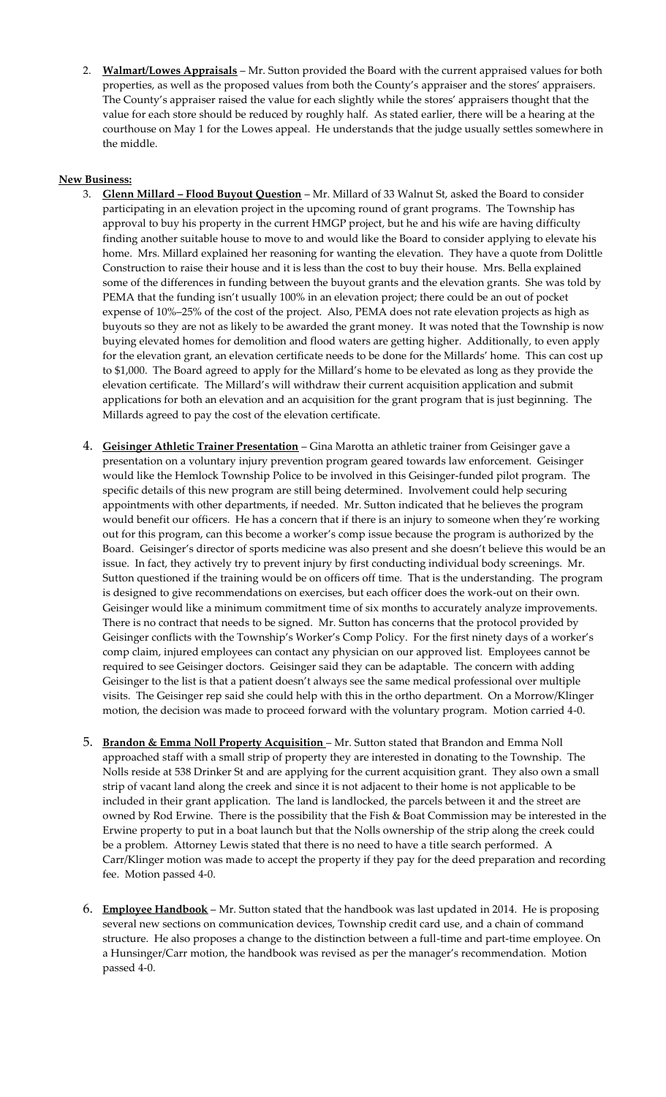2. **Walmart/Lowes Appraisals** – Mr. Sutton provided the Board with the current appraised values for both properties, as well as the proposed values from both the County's appraiser and the stores' appraisers. The County's appraiser raised the value for each slightly while the stores' appraisers thought that the value for each store should be reduced by roughly half. As stated earlier, there will be a hearing at the courthouse on May 1 for the Lowes appeal. He understands that the judge usually settles somewhere in the middle.

## **New Business:**

- 3. **Glenn Millard – Flood Buyout Question** Mr. Millard of 33 Walnut St, asked the Board to consider participating in an elevation project in the upcoming round of grant programs. The Township has approval to buy his property in the current HMGP project, but he and his wife are having difficulty finding another suitable house to move to and would like the Board to consider applying to elevate his home. Mrs. Millard explained her reasoning for wanting the elevation. They have a quote from Dolittle Construction to raise their house and it is less than the cost to buy their house. Mrs. Bella explained some of the differences in funding between the buyout grants and the elevation grants. She was told by PEMA that the funding isn't usually 100% in an elevation project; there could be an out of pocket expense of 10%–25% of the cost of the project. Also, PEMA does not rate elevation projects as high as buyouts so they are not as likely to be awarded the grant money. It was noted that the Township is now buying elevated homes for demolition and flood waters are getting higher. Additionally, to even apply for the elevation grant, an elevation certificate needs to be done for the Millards' home. This can cost up to \$1,000. The Board agreed to apply for the Millard's home to be elevated as long as they provide the elevation certificate. The Millard's will withdraw their current acquisition application and submit applications for both an elevation and an acquisition for the grant program that is just beginning. The Millards agreed to pay the cost of the elevation certificate.
- 4. **Geisinger Athletic Trainer Presentation** Gina Marotta an athletic trainer from Geisinger gave a presentation on a voluntary injury prevention program geared towards law enforcement. Geisinger would like the Hemlock Township Police to be involved in this Geisinger-funded pilot program. The specific details of this new program are still being determined. Involvement could help securing appointments with other departments, if needed. Mr. Sutton indicated that he believes the program would benefit our officers. He has a concern that if there is an injury to someone when they're working out for this program, can this become a worker's comp issue because the program is authorized by the Board. Geisinger's director of sports medicine was also present and she doesn't believe this would be an issue. In fact, they actively try to prevent injury by first conducting individual body screenings. Mr. Sutton questioned if the training would be on officers off time. That is the understanding. The program is designed to give recommendations on exercises, but each officer does the work-out on their own. Geisinger would like a minimum commitment time of six months to accurately analyze improvements. There is no contract that needs to be signed. Mr. Sutton has concerns that the protocol provided by Geisinger conflicts with the Township's Worker's Comp Policy. For the first ninety days of a worker's comp claim, injured employees can contact any physician on our approved list. Employees cannot be required to see Geisinger doctors. Geisinger said they can be adaptable. The concern with adding Geisinger to the list is that a patient doesn't always see the same medical professional over multiple visits. The Geisinger rep said she could help with this in the ortho department. On a Morrow/Klinger motion, the decision was made to proceed forward with the voluntary program. Motion carried 4-0.
- 5. **Brandon & Emma Noll Property Acquisition** Mr. Sutton stated that Brandon and Emma Noll approached staff with a small strip of property they are interested in donating to the Township. The Nolls reside at 538 Drinker St and are applying for the current acquisition grant. They also own a small strip of vacant land along the creek and since it is not adjacent to their home is not applicable to be included in their grant application. The land is landlocked, the parcels between it and the street are owned by Rod Erwine. There is the possibility that the Fish & Boat Commission may be interested in the Erwine property to put in a boat launch but that the Nolls ownership of the strip along the creek could be a problem. Attorney Lewis stated that there is no need to have a title search performed. A Carr/Klinger motion was made to accept the property if they pay for the deed preparation and recording fee. Motion passed 4-0.
- 6. **Employee Handbook** Mr. Sutton stated that the handbook was last updated in 2014. He is proposing several new sections on communication devices, Township credit card use, and a chain of command structure. He also proposes a change to the distinction between a full-time and part-time employee. On a Hunsinger/Carr motion, the handbook was revised as per the manager's recommendation. Motion passed 4-0.